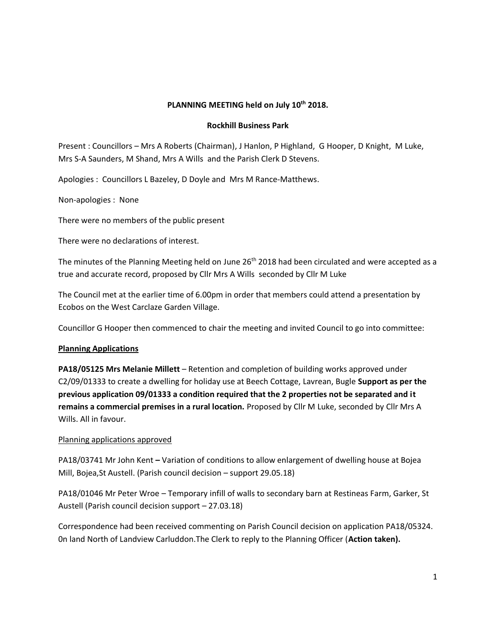# **PLANNING MEETING held on July 10th 2018.**

## **Rockhill Business Park**

Present : Councillors – Mrs A Roberts (Chairman), J Hanlon, P Highland, G Hooper, D Knight, M Luke, Mrs S-A Saunders, M Shand, Mrs A Wills and the Parish Clerk D Stevens.

Apologies : Councillors L Bazeley, D Doyle and Mrs M Rance-Matthews.

Non-apologies : None

There were no members of the public present

There were no declarations of interest.

The minutes of the Planning Meeting held on June 26<sup>th</sup> 2018 had been circulated and were accepted as a true and accurate record, proposed by Cllr Mrs A Wills seconded by Cllr M Luke

The Council met at the earlier time of 6.00pm in order that members could attend a presentation by Ecobos on the West Carclaze Garden Village.

Councillor G Hooper then commenced to chair the meeting and invited Council to go into committee:

## **Planning Applications**

**PA18/05125 Mrs Melanie Millett** – Retention and completion of building works approved under C2/09/01333 to create a dwelling for holiday use at Beech Cottage, Lavrean, Bugle **Support as per the previous application 09/01333 a condition required that the 2 properties not be separated and it remains a commercial premises in a rural location.** Proposed by Cllr M Luke, seconded by Cllr Mrs A Wills. All in favour.

## Planning applications approved

PA18/03741 Mr John Kent **–** Variation of conditions to allow enlargement of dwelling house at Bojea Mill, Bojea,St Austell. (Parish council decision – support 29.05.18)

PA18/01046 Mr Peter Wroe – Temporary infill of walls to secondary barn at Restineas Farm, Garker, St Austell (Parish council decision support – 27.03.18)

Correspondence had been received commenting on Parish Council decision on application PA18/05324. 0n land North of Landview Carluddon.The Clerk to reply to the Planning Officer (**Action taken).**